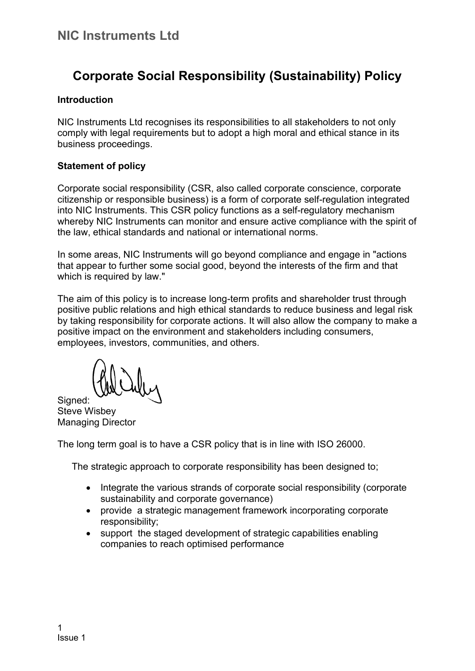# **Corporate Social Responsibility (Sustainability) Policy**

#### **Introduction**

NIC Instruments Ltd recognises its responsibilities to all stakeholders to not only comply with legal requirements but to adopt a high moral and ethical stance in its business proceedings.

#### **Statement of policy**

Corporate social responsibility (CSR, also called corporate conscience, corporate citizenship or responsible business) is a form of corporate self-regulation integrated into NIC Instruments. This CSR policy functions as a self-regulatory mechanism whereby NIC Instruments can monitor and ensure active compliance with the spirit of the law, ethical standards and national or international norms.

In some areas, NIC Instruments will go beyond compliance and engage in "actions that appear to further some social good, beyond the interests of the firm and that which is required by law."

The aim of this policy is to increase long-term profits and shareholder trust through positive public relations and high ethical standards to reduce business and legal risk by taking responsibility for corporate actions. It will also allow the company to make a positive impact on the environment and stakeholders including consumers, employees, investors, communities, and others.

Signed: Steve Wisbey Managing Director

The long term goal is to have a CSR policy that is in line with ISO 26000.

The strategic approach to corporate responsibility has been designed to;

- Integrate the various strands of corporate social responsibility (corporate sustainability and corporate governance)
- provide a strategic management framework incorporating corporate responsibility;
- support the staged development of strategic capabilities enabling companies to reach optimised performance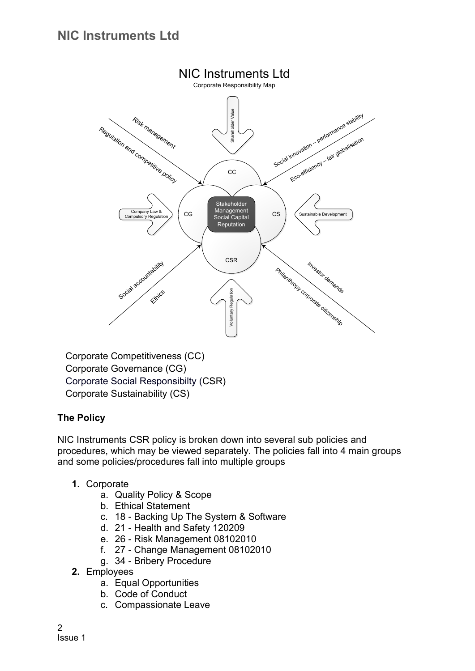

Corporate Competitiveness (CC) Corporate Governance (CG) Corporate Social Responsibilty (CSR) Corporate Sustainability (CS)

### **The Policy**

NIC Instruments CSR policy is broken down into several sub policies and procedures, which may be viewed separately. The policies fall into 4 main groups and some policies/procedures fall into multiple groups

- **1.** Corporate
	- a. Quality Policy & Scope
	- b. Ethical Statement
	- c. 18 Backing Up The System & Software
	- d. 21 Health and Safety 120209
	- e. 26 Risk Management 08102010
	- f. 27 Change Management 08102010
	- g. 34 Bribery Procedure
- **2.** Employees
	- a. Equal Opportunities
	- b. Code of Conduct
	- c. Compassionate Leave